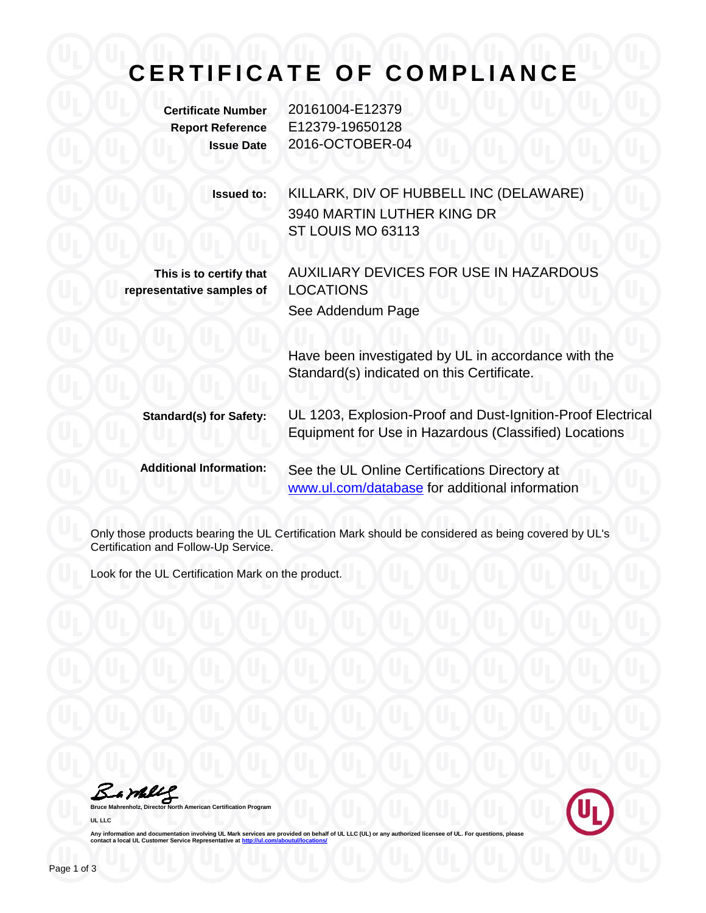## **CERTIFICATE OF COMPLIANCE**

**Certificate Number** 20161004-E12379 **Report Reference** E12379-19650128 **Issue Date** 2016-OCTOBER-04 **Issued to:** KILLARK, DIV OF HUBBELL INC (DELAWARE) 3940 MARTIN LUTHER KING DR ST LOUIS MO 63113 **This is to certify that representative samples of** AUXILIARY DEVICES FOR USE IN HAZARDOUS LOCATIONS See Addendum Page Have been investigated by UL in accordance with the Standard(s) indicated on this Certificate. **Standard(s) for Safety:** UL 1203, Explosion-Proof and Dust-Ignition-Proof Electrical Equipment for Use in Hazardous (Classified) Locations **Additional Information:** See the UL Online Certifications Directory at [www.ul.com/database](http://www.ul.com/database) for additional information

Only those products bearing the UL Certification Mark should be considered as being covered by UL's Certification and Follow-Up Service.

Look for the UL Certification Mark on the product.

Bamble

**Mahrenholz**, Mahrenholz, and American Certification Program **UL LLC**



Any information and documentation involving UL Mark services are provided on behalf of UL LLC (UL) or any authorized licensee of UL. For questions, please<br>contact a local UL Customer Service Representative at <u>http://ul.co</u>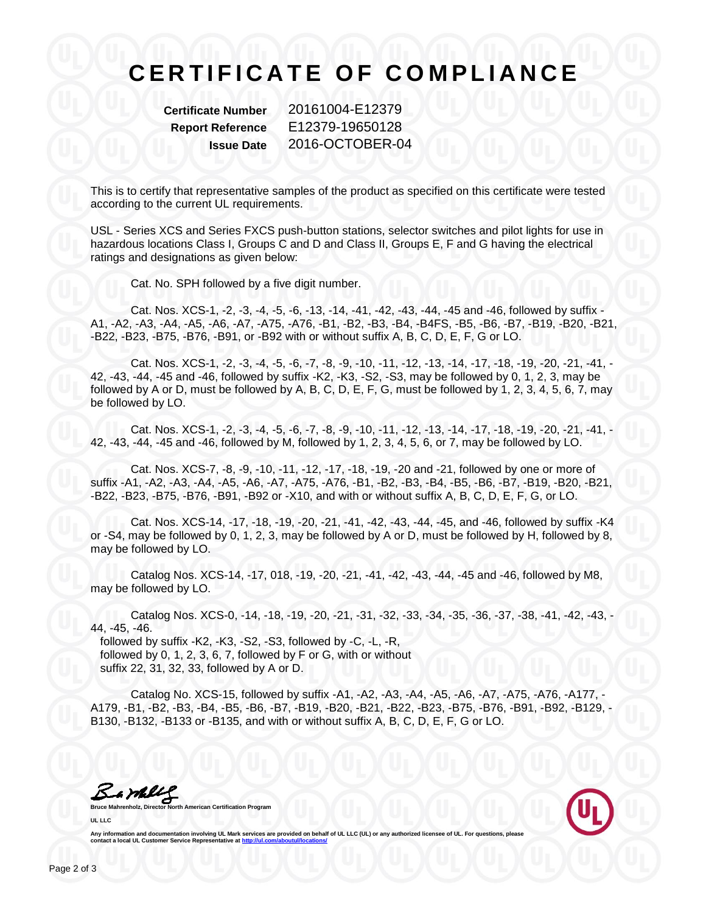## **CERTIFICATE OF COMPLIANCE**

**Certificate Number** 20161004-E12379 **Report Reference** E12379-19650128 **Issue Date** 2016-OCTOBER-04

This is to certify that representative samples of the product as specified on this certificate were tested according to the current UL requirements.

USL - Series XCS and Series FXCS push-button stations, selector switches and pilot lights for use in hazardous locations Class I, Groups C and D and Class II, Groups E, F and G having the electrical ratings and designations as given below:

Cat. No. SPH followed by a five digit number.

Cat. Nos. XCS-1, -2, -3, -4, -5, -6, -13, -14, -41, -42, -43, -44, -45 and -46, followed by suffix - A1, -A2, -A3, -A4, -A5, -A6, -A7, -A75, -A76, -B1, -B2, -B3, -B4, -B4FS, -B5, -B6, -B7, -B19, -B20, -B21, -B22, -B23, -B75, -B76, -B91, or -B92 with or without suffix A, B, C, D, E, F, G or LO.

Cat. Nos. XCS-1, -2, -3, -4, -5, -6, -7, -8, -9, -10, -11, -12, -13, -14, -17, -18, -19, -20, -21, -41, - 42, -43, -44, -45 and -46, followed by suffix -K2, -K3, -S2, -S3, may be followed by 0, 1, 2, 3, may be followed by A or D, must be followed by A, B, C, D, E, F, G, must be followed by 1, 2, 3, 4, 5, 6, 7, may be followed by LO.

Cat. Nos. XCS-1, -2, -3, -4, -5, -6, -7, -8, -9, -10, -11, -12, -13, -14, -17, -18, -19, -20, -21, -41, - 42, -43, -44, -45 and -46, followed by M, followed by 1, 2, 3, 4, 5, 6, or 7, may be followed by LO.

Cat. Nos. XCS-7, -8, -9, -10, -11, -12, -17, -18, -19, -20 and -21, followed by one or more of suffix -A1, -A2, -A3, -A4, -A5, -A6, -A7, -A75, -A76, -B1, -B2, -B3, -B4, -B5, -B6, -B7, -B19, -B20, -B21, -B22, -B23, -B75, -B76, -B91, -B92 or -X10, and with or without suffix A, B, C, D, E, F, G, or LO.

Cat. Nos. XCS-14, -17, -18, -19, -20, -21, -41, -42, -43, -44, -45, and -46, followed by suffix -K4 or -S4, may be followed by 0, 1, 2, 3, may be followed by A or D, must be followed by H, followed by 8, may be followed by LO.

Catalog Nos. XCS-14, -17, 018, -19, -20, -21, -41, -42, -43, -44, -45 and -46, followed by M8, may be followed by LO.

Catalog Nos. XCS-0, -14, -18, -19, -20, -21, -31, -32, -33, -34, -35, -36, -37, -38, -41, -42, -43, - 44, -45, -46.

 followed by suffix -K2, -K3, -S2, -S3, followed by -C, -L, -R, followed by 0, 1, 2, 3, 6, 7, followed by F or G, with or without suffix 22, 31, 32, 33, followed by A or D.

Catalog No. XCS-15, followed by suffix -A1, -A2, -A3, -A4, -A5, -A6, -A7, -A75, -A76, -A177, - A179, -B1, -B2, -B3, -B4, -B5, -B6, -B7, -B19, -B20, -B21, -B22, -B23, -B75, -B76, -B91, -B92, -B129, - B130, -B132, -B133 or -B135, and with or without suffix A, B, C, D, E, F, G or LO.

Bamelle

**American Certification Program UL LLC**



Any information and documentation involving UL Mark services are provided on behalf of UL LLC (UL) or any authorized licensee of UL. For questions, please<br>contact a local UL Customer Service Representative at <u>http://ul.co</u>